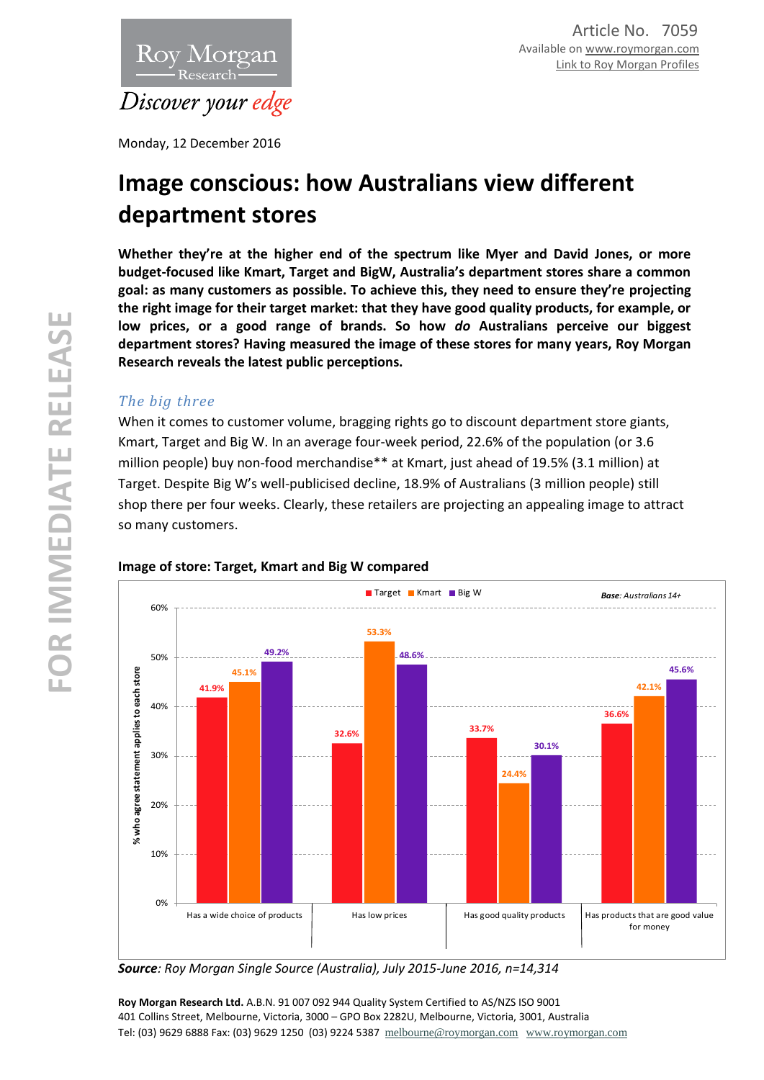

Monday, 12 December 2016

# **Image conscious: how Australians view different department stores**

**Whether they're at the higher end of the spectrum like Myer and David Jones, or more budget-focused like Kmart, Target and BigW, Australia's department stores share a common goal: as many customers as possible. To achieve this, they need to ensure they're projecting the right image for their target market: that they have good quality products, for example, or low prices, or a good range of brands. So how** *do* **Australians perceive our biggest department stores? Having measured the image of these stores for many years, Roy Morgan Research reveals the latest public perceptions.**

# *The big three*

When it comes to customer volume, bragging rights go to discount department store giants, Kmart, Target and Big W. In an average four-week period, 22.6% of the population (or 3.6 million people) buy non-food merchandise\*\* at Kmart, just ahead of 19.5% (3.1 million) at Target. Despite Big W's well-publicised decline, 18.9% of Australians (3 million people) still shop there per four weeks. Clearly, these retailers are projecting an appealing image to attract so many customers.



## **Image of store: Target, Kmart and Big W compared**

*Source: Roy Morgan Single Source (Australia), July 2015-June 2016, n=14,314*

**Roy Morgan Research Ltd.** A.B.N. 91 007 092 944 Quality System Certified to AS/NZS ISO 9001 401 Collins Street, Melbourne, Victoria, 3000 – GPO Box 2282U, Melbourne, Victoria, 3001, Australia Tel: (03) 9629 6888 Fax: (03) 9629 1250 (03) 9224 5387 [melbourne@roymorgan.com](mailto:melbourne@roymorgan.com) [www.roymorgan.com](http://www.roymorgan.com/)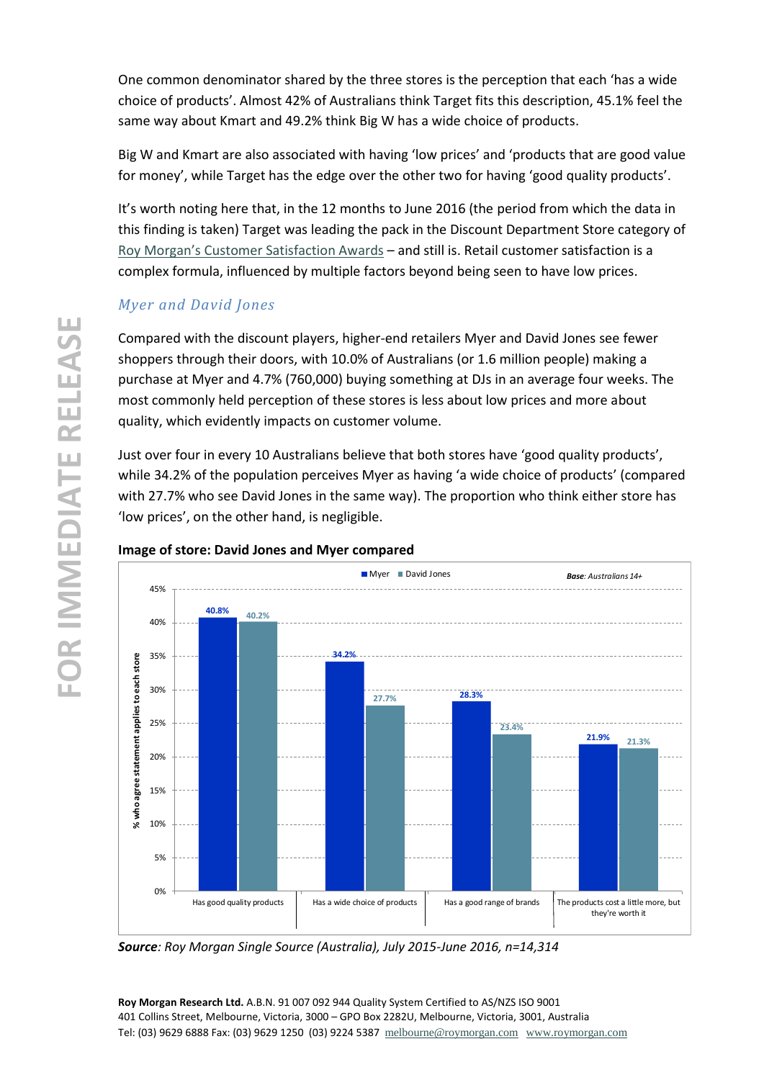One common denominator shared by the three stores is the perception that each 'has a wide choice of products'. Almost 42% of Australians think Target fits this description, 45.1% feel the same way about Kmart and 49.2% think Big W has a wide choice of products.

Big W and Kmart are also associated with having 'low prices' and 'products that are good value for money', while Target has the edge over the other two for having 'good quality products'.

It's worth noting here that, in the 12 months to June 2016 (the period from which the data in this finding is taken) Target was leading the pack in the Discount Department Store category of [Roy Morgan's Customer Satisfaction Aw](http://www.roymorganonlinestore.com/Awards.aspx?month=9&year=2016&country=01)ards – and still is. Retail customer satisfaction is a complex formula, influenced by multiple factors beyond being seen to have low prices.

# *Myer and David Jones*

Compared with the discount players, higher-end retailers Myer and David Jones see fewer shoppers through their doors, with 10.0% of Australians (or 1.6 million people) making a purchase at Myer and 4.7% (760,000) buying something at DJs in an average four weeks. The most commonly held perception of these stores is less about low prices and more about quality, which evidently impacts on customer volume.

Just over four in every 10 Australians believe that both stores have 'good quality products', while 34.2% of the population perceives Myer as having 'a wide choice of products' (compared with 27.7% who see David Jones in the same way). The proportion who think either store has 'low prices', on the other hand, is negligible.



## **Image of store: David Jones and Myer compared**

*Source: Roy Morgan Single Source (Australia), July 2015-June 2016, n=14,314*

**Roy Morgan Research Ltd.** A.B.N. 91 007 092 944 Quality System Certified to AS/NZS ISO 9001 401 Collins Street, Melbourne, Victoria, 3000 – GPO Box 2282U, Melbourne, Victoria, 3001, Australia Tel: (03) 9629 6888 Fax: (03) 9629 1250 (03) 9224 5387 [melbourne@roymorgan.com](mailto:melbourne@roymorgan.com) [www.roymorgan.com](http://www.roymorgan.com/)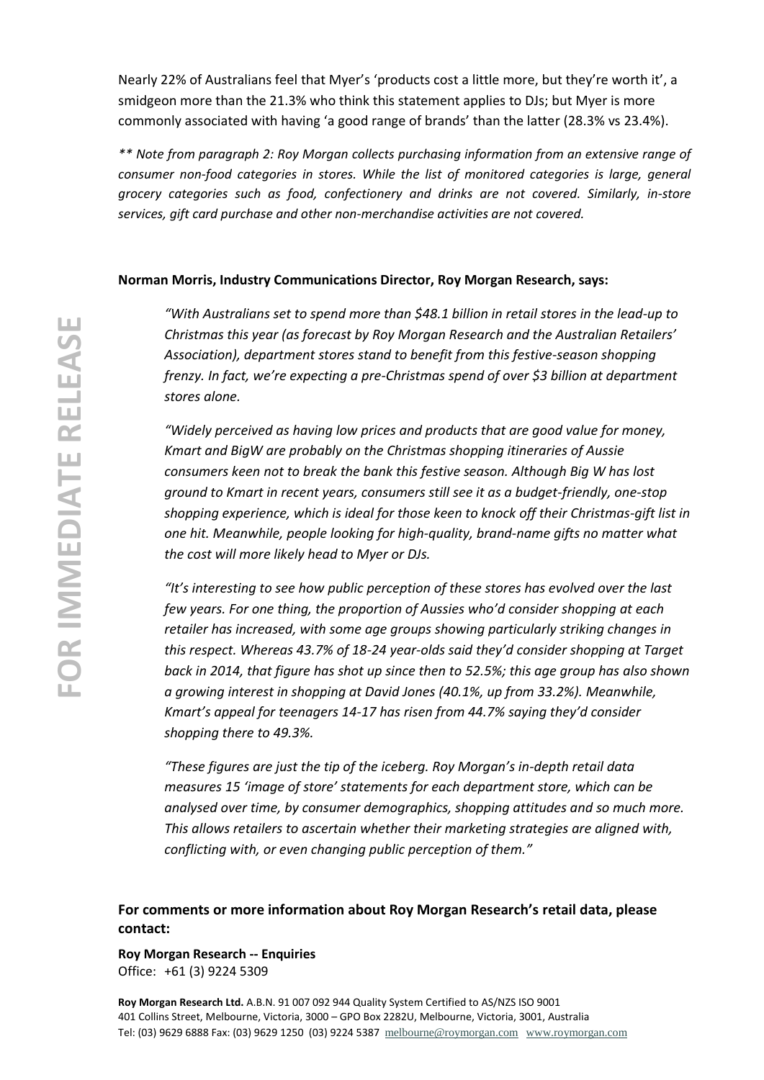Nearly 22% of Australians feel that Myer's 'products cost a little more, but they're worth it', a smidgeon more than the 21.3% who think this statement applies to DJs; but Myer is more commonly associated with having 'a good range of brands' than the latter (28.3% vs 23.4%).

*\*\* Note from paragraph 2: Roy Morgan collects purchasing information from an extensive range of consumer non-food categories in stores. While the list of monitored categories is large, general grocery categories such as food, confectionery and drinks are not covered. Similarly, in-store services, gift card purchase and other non-merchandise activities are not covered.*

#### **Norman Morris, Industry Communications Director, Roy Morgan Research, says:**

*"With Australians set to spend more than \$48.1 billion in retail stores in the lead-up to Christmas this year (as forecast by Roy Morgan Research and the Australian Retailers' Association), department stores stand to benefit from this festive-season shopping frenzy. In fact, we're expecting a pre-Christmas spend of over \$3 billion at department stores alone.*

*"Widely perceived as having low prices and products that are good value for money, Kmart and BigW are probably on the Christmas shopping itineraries of Aussie consumers keen not to break the bank this festive season. Although Big W has lost ground to Kmart in recent years, consumers still see it as a budget-friendly, one-stop shopping experience, which is ideal for those keen to knock off their Christmas-gift list in one hit. Meanwhile, people looking for high-quality, brand-name gifts no matter what the cost will more likely head to Myer or DJs.* 

*"It's interesting to see how public perception of these stores has evolved over the last few years. For one thing, the proportion of Aussies who'd consider shopping at each retailer has increased, with some age groups showing particularly striking changes in this respect. Whereas 43.7% of 18-24 year-olds said they'd consider shopping at Target back in 2014, that figure has shot up since then to 52.5%; this age group has also shown a growing interest in shopping at David Jones (40.1%, up from 33.2%). Meanwhile, Kmart's appeal for teenagers 14-17 has risen from 44.7% saying they'd consider shopping there to 49.3%.* 

*"These figures are just the tip of the iceberg. Roy Morgan's in-depth retail data measures 15 'image of store' statements for each department store, which can be analysed over time, by consumer demographics, shopping attitudes and so much more. This allows retailers to ascertain whether their marketing strategies are aligned with, conflicting with, or even changing public perception of them."*

**For comments or more information about Roy Morgan Research's retail data, please contact:**

**Roy Morgan Research -- Enquiries** Office: +61 (3) 9224 5309